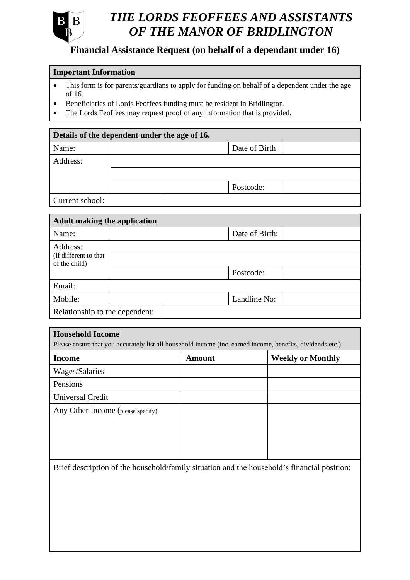

# *OF THE MANOR OF BRIDLINGTON THE LORDS FEOFFEES AND ASSISTANTS*

## **Financial Assistance Request (on behalf of a dependant under 16)**

#### **Important Information**

- This form is for parents/guardians to apply for funding on behalf of a dependent under the age of 16.
- Beneficiaries of Lords Feoffees funding must be resident in Bridlington.
- The Lords Feoffees may request proof of any information that is provided.

### **Details of the dependent under the age of 16.**

| Name:           |  | Date of Birth |  |
|-----------------|--|---------------|--|
| Address:        |  |               |  |
|                 |  |               |  |
|                 |  | Postcode:     |  |
| Current school: |  |               |  |

| <b>Adult making the application</b>     |  |                |  |  |  |
|-----------------------------------------|--|----------------|--|--|--|
| Name:                                   |  | Date of Birth: |  |  |  |
| Address:                                |  |                |  |  |  |
| (if different to that)<br>of the child) |  |                |  |  |  |
|                                         |  | Postcode:      |  |  |  |
| Email:                                  |  |                |  |  |  |
| Mobile:                                 |  | Landline No:   |  |  |  |
| Relationship to the dependent:          |  |                |  |  |  |

# **Household Income** Please ensure that you accurately list all household income (inc. earned income, benefits, dividends etc.) **Income Amount Weekly or Monthly** Wages/Salaries Pensions Universal Credit Any Other Income (please specify)

Brief description of the household/family situation and the household's financial position: